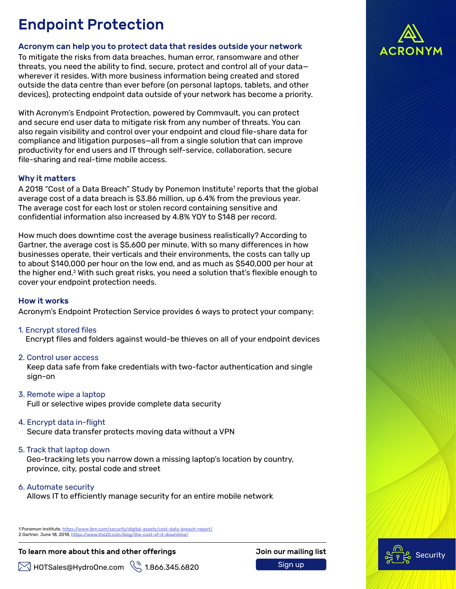# Endpoint Protection

## Acronym can help you to protect data that resides outside your network

To mitigate the risks from data breaches, human error, ransomware and other threats, you need the ability to find, secure, protect and control all of your data wherever it resides. With more business information being created and stored outside the data centre than ever before (on personal laptops, tablets, and other devices), protecting endpoint data outside of your network has become a priority.

With Acronym's Endpoint Protection, powered by Commvault, you can protect and secure end user data to mitigate risk from any number of threats. You can also regain visibility and control over your endpoint and cloud file-share data for compliance and litigation purposes—all from a single solution that can improve productivity for end users and IT through self-service, collaboration, secure file-sharing and real-time mobile access.

### Why it matters

A 2018 "Cost of a Data Breach" Study by Ponemon Institute<sup>1</sup> reports that the global average cost of a data breach is \$3.86 million, up 6.4% from the previous year. The average cost for each lost or stolen record containing sensitive and confidential information also increased by 4.8% YOY to \$148 per record.

How much does downtime cost the average business realistically? According to Gartner, the average cost is \$5,600 per minute. With so many differences in how businesses operate, their verticals and their environments, the costs can tally up to about \$140,000 per hour on the low end, and as much as \$540,000 per hour at the higher end.<sup>2</sup> With such great risks, you need a solution that's flexible enough to cover your endpoint protection needs.

#### How it works

Acronym's Endpoint Protection Service provides 6 ways to protect your company:

1. Encrypt stored files

Encrypt files and folders against would-be thieves on all of your endpoint devices

2. Control user access

Keep data safe from fake credentials with two-factor authentication and single sign-on

3. Remote wipe a laptop

Full or selective wipes provide complete data security

- 4. Encrypt data in-flight Secure data transfer protects moving data without a VPN
- 5. Track that laptop down

Geo-tracking lets you narrow down a missing laptop's location by country, province, city, postal code and street

6. Automate security

Allows IT to efficiently manage security for an entire mobile network

1 Ponemon Institute, https://www.ibm.com/security/digital-assets/cost-data-breach-report/ 2 Gartner, June 18, 2018, https://www.the20.com/blog/the-cost-of-it-downtime/

## To learn more about this and other offerings The Matten Coin our mailing list